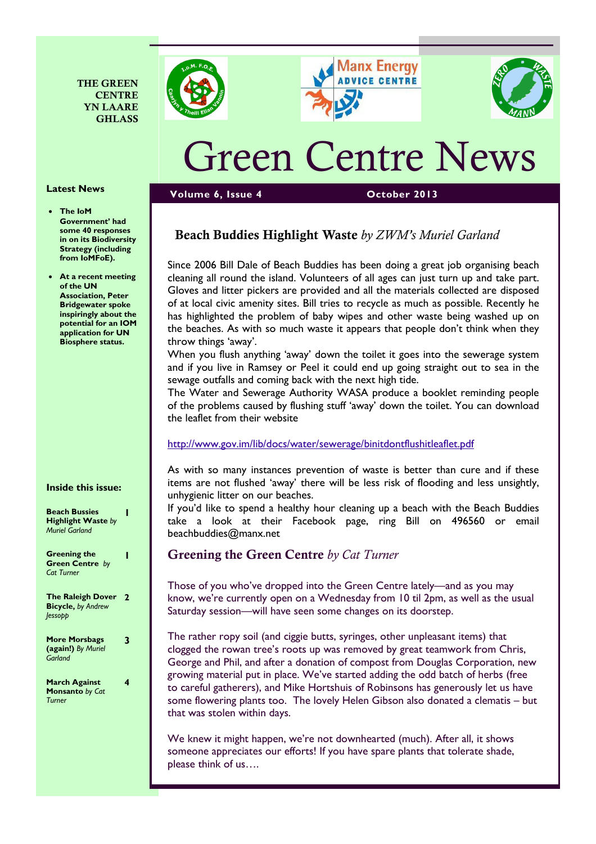







# Green Centre News

Volume 6, Issue 4 October 2013

# Beach Buddies Highlight Waste by ZWM's Muriel Garland

Since 2006 Bill Dale of Beach Buddies has been doing a great job organising beach cleaning all round the island. Volunteers of all ages can just turn up and take part. Gloves and litter pickers are provided and all the materials collected are disposed of at local civic amenity sites. Bill tries to recycle as much as possible. Recently he has highlighted the problem of baby wipes and other waste being washed up on the beaches. As with so much waste it appears that people don't think when they throw things 'away'.

When you flush anything 'away' down the toilet it goes into the sewerage system and if you live in Ramsey or Peel it could end up going straight out to sea in the sewage outfalls and coming back with the next high tide.

The Water and Sewerage Authority WASA produce a booklet reminding people of the problems caused by flushing stuff 'away' down the toilet. You can download the leaflet from their website

## http://www.gov.im/lib/docs/water/sewerage/binitdontflushitleaflet.pdf

As with so many instances prevention of waste is better than cure and if these items are not flushed 'away' there will be less risk of flooding and less unsightly, unhygienic litter on our beaches.

If you'd like to spend a healthy hour cleaning up a beach with the Beach Buddies take a look at their Facebook page, ring Bill on 496560 or email beachbuddies@manx.net

# Greening the Green Centre by Cat Turner

Those of you who've dropped into the Green Centre lately—and as you may know, we're currently open on a Wednesday from 10 til 2pm, as well as the usual Saturday session—will have seen some changes on its doorstep.

The rather ropy soil (and ciggie butts, syringes, other unpleasant items) that clogged the rowan tree's roots up was removed by great teamwork from Chris, George and Phil, and after a donation of compost from Douglas Corporation, new growing material put in place. We've started adding the odd batch of herbs (free to careful gatherers), and Mike Hortshuis of Robinsons has generously let us have some flowering plants too. The lovely Helen Gibson also donated a clematis – but that was stolen within days.

We knew it might happen, we're not downhearted (much). After all, it shows someone appreciates our efforts! If you have spare plants that tolerate shade, please think of us….

#### Latest News

- The IoM Government' had some 40 responses in on its Biodiversity Strategy (including from IoMFoE).
- At a recent meeting of the UN Association, Peter Bridgewater spoke inspiringly about the potential for an IOM application for UN Biosphere status.

#### Inside this issue:

| <b>Beach Bussies</b><br><b>Highlight Waste by</b><br><b>Muriel Garland</b> |   |
|----------------------------------------------------------------------------|---|
| <b>Greening the</b><br><b>Green Centre by</b><br><b>Cat Turner</b>         |   |
| <b>The Raleigh Dover</b><br><b>Bicycle, by Andrew</b><br><i>lessopp</i>    | 7 |
| <b>More Morsbags</b><br>(again!) By Muriel<br>Garland                      | 3 |
| March Against<br>Monsanto by Cat<br>Turner                                 | 4 |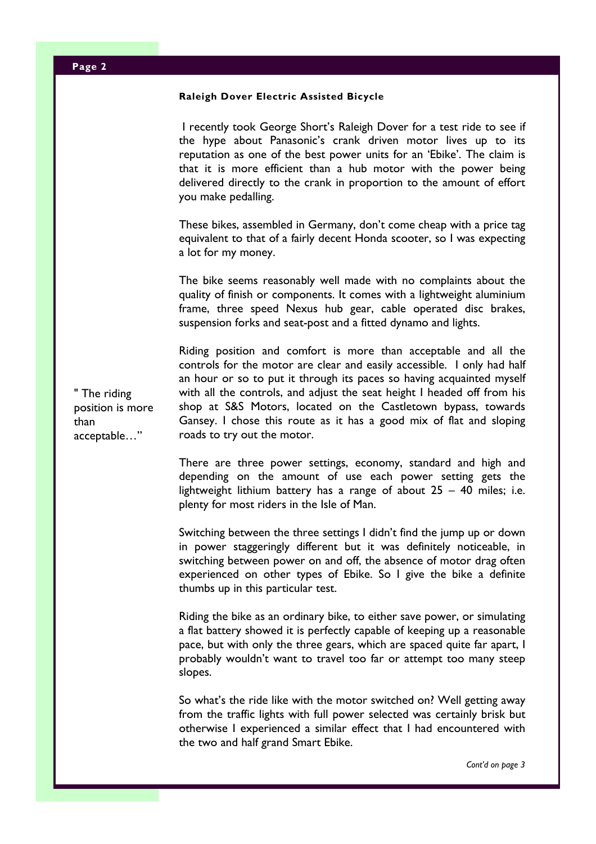| Page 2                                                  |                                                                                                                                                                                                                                                                                                                                                                                                                                                                       |
|---------------------------------------------------------|-----------------------------------------------------------------------------------------------------------------------------------------------------------------------------------------------------------------------------------------------------------------------------------------------------------------------------------------------------------------------------------------------------------------------------------------------------------------------|
|                                                         | Raleigh Dover Electric Assisted Bicycle                                                                                                                                                                                                                                                                                                                                                                                                                               |
| " The riding<br>position is more<br>than<br>acceptable" | I recently took George Short's Raleigh Dover for a test ride to see if<br>the hype about Panasonic's crank driven motor lives up to its<br>reputation as one of the best power units for an 'Ebike'. The claim is<br>that it is more efficient than a hub motor with the power being<br>delivered directly to the crank in proportion to the amount of effort<br>you make pedalling.                                                                                  |
|                                                         | These bikes, assembled in Germany, don't come cheap with a price tag<br>equivalent to that of a fairly decent Honda scooter, so I was expecting<br>a lot for my money.                                                                                                                                                                                                                                                                                                |
|                                                         | The bike seems reasonably well made with no complaints about the<br>quality of finish or components. It comes with a lightweight aluminium<br>frame, three speed Nexus hub gear, cable operated disc brakes,<br>suspension forks and seat-post and a fitted dynamo and lights.                                                                                                                                                                                        |
|                                                         | Riding position and comfort is more than acceptable and all the<br>controls for the motor are clear and easily accessible. I only had half<br>an hour or so to put it through its paces so having acquainted myself<br>with all the controls, and adjust the seat height I headed off from his<br>shop at S&S Motors, located on the Castletown bypass, towards<br>Gansey. I chose this route as it has a good mix of flat and sloping<br>roads to try out the motor. |
|                                                         | There are three power settings, economy, standard and high and<br>depending on the amount of use each power setting gets the<br>lightweight lithium battery has a range of about $25 - 40$ miles; i.e.<br>plenty for most riders in the Isle of Man.                                                                                                                                                                                                                  |
|                                                         | Switching between the three settings I didn't find the jump up or down<br>in power staggeringly different but it was definitely noticeable, in<br>switching between power on and off, the absence of motor drag often<br>experienced on other types of Ebike. So I give the bike a definite<br>thumbs up in this particular test.                                                                                                                                     |
|                                                         | Riding the bike as an ordinary bike, to either save power, or simulating<br>a flat battery showed it is perfectly capable of keeping up a reasonable<br>pace, but with only the three gears, which are spaced quite far apart, I<br>probably wouldn't want to travel too far or attempt too many steep<br>slopes.                                                                                                                                                     |
|                                                         | So what's the ride like with the motor switched on? Well getting away<br>from the traffic lights with full power selected was certainly brisk but<br>otherwise I experienced a similar effect that I had encountered with<br>the two and half grand Smart Ebike.                                                                                                                                                                                                      |

Cont'd on page 3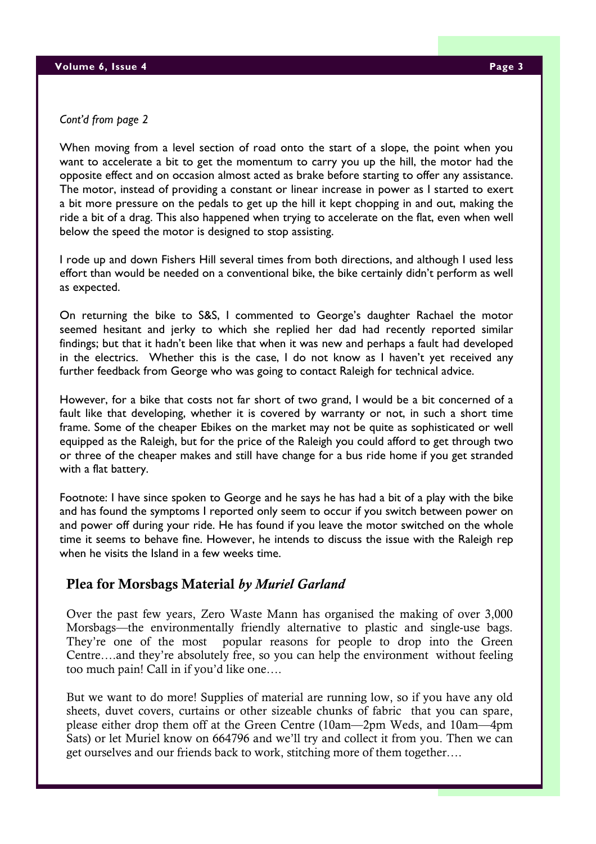#### Cont'd from page 2

When moving from a level section of road onto the start of a slope, the point when you want to accelerate a bit to get the momentum to carry you up the hill, the motor had the opposite effect and on occasion almost acted as brake before starting to offer any assistance. The motor, instead of providing a constant or linear increase in power as I started to exert a bit more pressure on the pedals to get up the hill it kept chopping in and out, making the ride a bit of a drag. This also happened when trying to accelerate on the flat, even when well below the speed the motor is designed to stop assisting.

I rode up and down Fishers Hill several times from both directions, and although I used less effort than would be needed on a conventional bike, the bike certainly didn't perform as well as expected.

On returning the bike to S&S, I commented to George's daughter Rachael the motor seemed hesitant and jerky to which she replied her dad had recently reported similar findings; but that it hadn't been like that when it was new and perhaps a fault had developed in the electrics. Whether this is the case, I do not know as I haven't yet received any further feedback from George who was going to contact Raleigh for technical advice.

However, for a bike that costs not far short of two grand, I would be a bit concerned of a fault like that developing, whether it is covered by warranty or not, in such a short time frame. Some of the cheaper Ebikes on the market may not be quite as sophisticated or well equipped as the Raleigh, but for the price of the Raleigh you could afford to get through two or three of the cheaper makes and still have change for a bus ride home if you get stranded with a flat battery.

Footnote: I have since spoken to George and he says he has had a bit of a play with the bike and has found the symptoms I reported only seem to occur if you switch between power on and power off during your ride. He has found if you leave the motor switched on the whole time it seems to behave fine. However, he intends to discuss the issue with the Raleigh rep when he visits the Island in a few weeks time.

## Plea for Morsbags Material by Muriel Garland

Over the past few years, Zero Waste Mann has organised the making of over 3,000 Morsbags—the environmentally friendly alternative to plastic and single-use bags. They're one of the most popular reasons for people to drop into the Green Centre….and they're absolutely free, so you can help the environment without feeling too much pain! Call in if you'd like one….

But we want to do more! Supplies of material are running low, so if you have any old sheets, duvet covers, curtains or other sizeable chunks of fabric that you can spare, please either drop them off at the Green Centre (10am—2pm Weds, and 10am—4pm Sats) or let Muriel know on 664796 and we'll try and collect it from you. Then we can get ourselves and our friends back to work, stitching more of them together….